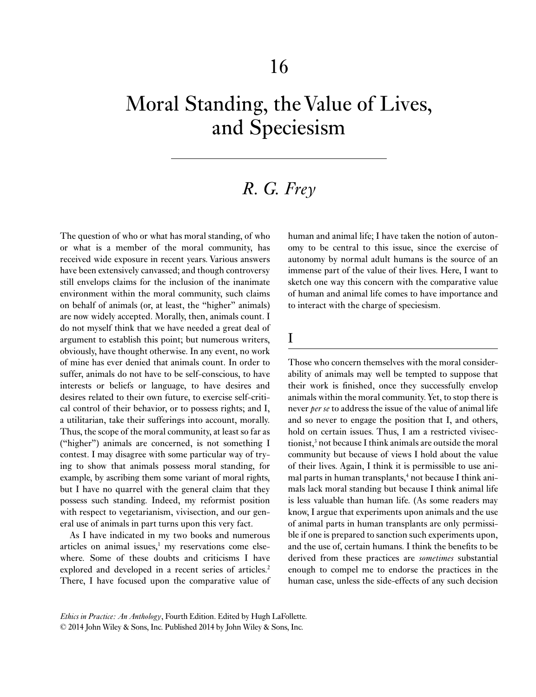# Moral Standing, the Value of Lives, and Speciesism

## *R. G. Frey*

The question of who or what has moral standing, of who or what is a member of the moral community, has received wide exposure in recent years. Various answers have been extensively canvassed; and though controversy still envelops claims for the inclusion of the inanimate environment within the moral community, such claims on behalf of animals (or, at least, the "higher" animals) are now widely accepted. Morally, then, animals count. I do not myself think that we have needed a great deal of argument to establish this point; but numerous writers, obviously, have thought otherwise. In any event, no work of mine has ever denied that animals count. In order to suffer, animals do not have to be self-conscious, to have interests or beliefs or language, to have desires and desires related to their own future, to exercise self-critical control of their behavior, or to possess rights; and I, a utilitarian, take their sufferings into account, morally. Thus, the scope of the moral community, at least so far as ("higher") animals are concerned, is not something I contest. I may disagree with some particular way of trying to show that animals possess moral standing, for example, by ascribing them some variant of moral rights, but I have no quarrel with the general claim that they possess such standing. Indeed, my reformist position with respect to vegetarianism, vivisection, and our general use of animals in part turns upon this very fact.

As I have indicated in my two books and numerous articles on animal issues, $1$  my reservations come elsewhere. Some of these doubts and criticisms I have explored and developed in a recent series of articles.<sup>2</sup> There, I have focused upon the comparative value of human and animal life; I have taken the notion of autonomy to be central to this issue, since the exercise of autonomy by normal adult humans is the source of an immense part of the value of their lives. Here, I want to sketch one way this concern with the comparative value of human and animal life comes to have importance and to interact with the charge of speciesism.

## I

Those who concern themselves with the moral considerability of animals may well be tempted to suppose that their work is finished, once they successfully envelop animals within the moral community. Yet, to stop there is never *per se* to address the issue of the value of animal life and so never to engage the position that I, and others, hold on certain issues. Thus, I am a restricted vivisectionist,<sup>3</sup> not because I think animals are outside the moral community but because of views I hold about the value of their lives. Again, I think it is permissible to use animal parts in human transplants,<sup>4</sup> not because I think animals lack moral standing but because I think animal life is less valuable than human life. (As some readers may know, I argue that experiments upon animals and the use of animal parts in human transplants are only permissible if one is prepared to sanction such experiments upon, and the use of, certain humans. I think the benefits to be derived from these practices are *sometimes* substantial enough to compel me to endorse the practices in the human case, unless the side-effects of any such decision

*Ethics in Practice: An Anthology*, Fourth Edition. Edited by Hugh LaFollette. © 2014 John Wiley & Sons, Inc. Published 2014 by John Wiley & Sons, Inc.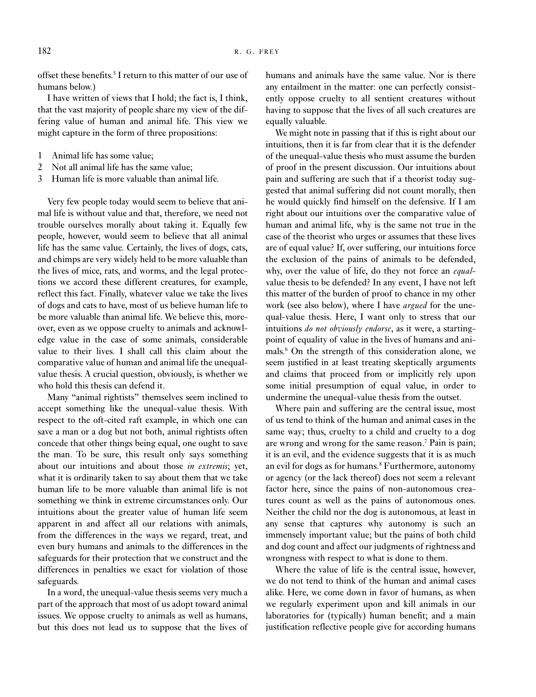offset these benefits.<sup>5</sup> I return to this matter of our use of humans below.)

I have written of views that I hold; the fact is, I think, that the vast majority of people share my view of the differing value of human and animal life. This view we might capture in the form of three propositions:

- 1 Animal life has some value;
- 2 Not all animal life has the same value;
- 3 Human life is more valuable than animal life.

Very few people today would seem to believe that animal life is without value and that, therefore, we need not trouble ourselves morally about taking it. Equally few people, however, would seem to believe that all animal life has the same value. Certainly, the lives of dogs, cats, and chimps are very widely held to be more valuable than the lives of mice, rats, and worms, and the legal protections we accord these different creatures, for example, reflect this fact. Finally, whatever value we take the lives of dogs and cats to have, most of us believe human life to be more valuable than animal life. We believe this, moreover, even as we oppose cruelty to animals and acknowledge value in the case of some animals, considerable value to their lives. I shall call this claim about the comparative value of human and animal life the unequalvalue thesis. A crucial question, obviously, is whether we who hold this thesis can defend it.

Many "animal rightists" themselves seem inclined to accept something like the unequal-value thesis. With respect to the oft-cited raft example, in which one can save a man or a dog but not both, animal rightists often concede that other things being equal, one ought to save the man. To be sure, this result only says something about our intuitions and about those *in extremis*; yet, what it is ordinarily taken to say about them that we take human life to be more valuable than animal life is not something we think in extreme circumstances only. Our intuitions about the greater value of human life seem apparent in and affect all our relations with animals, from the differences in the ways we regard, treat, and even bury humans and animals to the differences in the safeguards for their protection that we construct and the differences in penalties we exact for violation of those safeguards.

In a word, the unequal-value thesis seems very much a part of the approach that most of us adopt toward animal issues. We oppose cruelty to animals as well as humans, but this does not lead us to suppose that the lives of humans and animals have the same value. Nor is there any entailment in the matter: one can perfectly consistently oppose cruelty to all sentient creatures without having to suppose that the lives of all such creatures are equally valuable.

We might note in passing that if this is right about our intuitions, then it is far from clear that it is the defender of the unequal-value thesis who must assume the burden of proof in the present discussion. Our intuitions about pain and suffering are such that if a theorist today suggested that animal suffering did not count morally, then he would quickly find himself on the defensive. If I am right about our intuitions over the comparative value of human and animal life, why is the same not true in the case of the theorist who urges or assumes that these lives are of equal value? If, over suffering, our intuitions force the exclusion of the pains of animals to be defended, why, over the value of life, do they not force an *equal*value thesis to be defended? In any event, I have not left this matter of the burden of proof to chance in my other work (see also below), where I have *argued* for the unequal-value thesis. Here, I want only to stress that our intuitions *do not obviously endorse*, as it were, a startingpoint of equality of value in the lives of humans and animals.6 On the strength of this consideration alone, we seem justified in at least treating skeptically arguments and claims that proceed from or implicitly rely upon some initial presumption of equal value, in order to undermine the unequal-value thesis from the outset.

Where pain and suffering are the central issue, most of us tend to think of the human and animal cases in the same way; thus, cruelty to a child and cruelty to a dog are wrong and wrong for the same reason.7 Pain is pain; it is an evil, and the evidence suggests that it is as much an evil for dogs as for humans.<sup>8</sup> Furthermore, autonomy or agency (or the lack thereof) does not seem a relevant factor here, since the pains of non-autonomous creatures count as well as the pains of autonomous ones. Neither the child nor the dog is autonomous, at least in any sense that captures why autonomy is such an immensely important value; but the pains of both child and dog count and affect our judgments of rightness and wrongness with respect to what is done to them.

Where the value of life is the central issue, however, we do not tend to think of the human and animal cases alike. Here, we come down in favor of humans, as when we regularly experiment upon and kill animals in our laboratories for (typically) human benefit; and a main justification reflective people give for according humans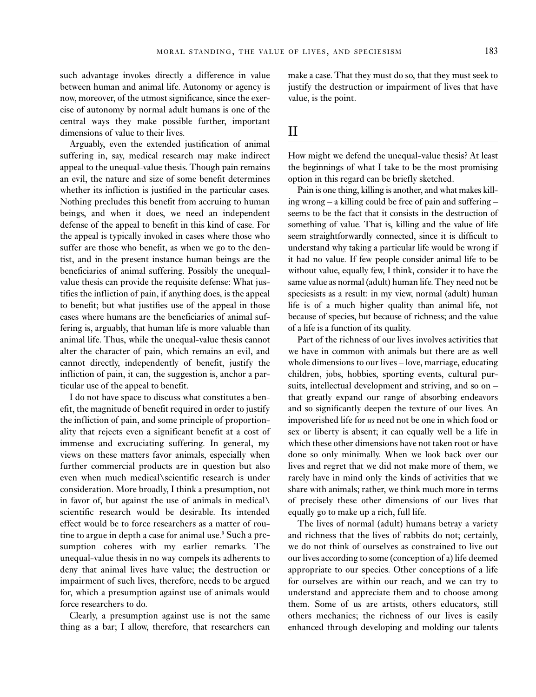such advantage invokes directly a difference in value between human and animal life. Autonomy or agency is now, moreover, of the utmost significance, since the exercise of autonomy by normal adult humans is one of the central ways they make possible further, important dimensions of value to their lives.

Arguably, even the extended justification of animal suffering in, say, medical research may make indirect appeal to the unequal-value thesis. Though pain remains an evil, the nature and size of some benefit determines whether its infliction is justified in the particular cases. Nothing precludes this benefit from accruing to human beings, and when it does, we need an independent defense of the appeal to benefit in this kind of case. For the appeal is typically invoked in cases where those who suffer are those who benefit, as when we go to the dentist, and in the present instance human beings are the beneficiaries of animal suffering. Possibly the unequalvalue thesis can provide the requisite defense: What justifies the infliction of pain, if anything does, is the appeal to benefit; but what justifies use of the appeal in those cases where humans are the beneficiaries of animal suffering is, arguably, that human life is more valuable than animal life. Thus, while the unequal-value thesis cannot alter the character of pain, which remains an evil, and cannot directly, independently of benefit, justify the infliction of pain, it can, the suggestion is, anchor a particular use of the appeal to benefit.

I do not have space to discuss what constitutes a benefit, the magnitude of benefit required in order to justify the infliction of pain, and some principle of proportionality that rejects even a significant benefit at a cost of immense and excruciating suffering. In general, my views on these matters favor animals, especially when further commercial products are in question but also even when much medical\scientific research is under consideration. More broadly, I think a presumption, not in favor of, but against the use of animals in medical\ scientific research would be desirable. Its intended effect would be to force researchers as a matter of routine to argue in depth a case for animal use.<sup>9</sup> Such a presumption coheres with my earlier remarks. The unequal-value thesis in no way compels its adherents to deny that animal lives have value; the destruction or impairment of such lives, therefore, needs to be argued for, which a presumption against use of animals would force researchers to do.

Clearly, a presumption against use is not the same thing as a bar; I allow, therefore, that researchers can make a case. That they must do so, that they must seek to justify the destruction or impairment of lives that have value, is the point.

#### II

How might we defend the unequal-value thesis? At least the beginnings of what I take to be the most promising option in this regard can be briefly sketched.

Pain is one thing, killing is another, and what makes killing wrong – a killing could be free of pain and suffering – seems to be the fact that it consists in the destruction of something of value. That is, killing and the value of life seem straightforwardly connected, since it is difficult to understand why taking a particular life would be wrong if it had no value. If few people consider animal life to be without value, equally few, I think, consider it to have the same value as normal (adult) human life. They need not be speciesists as a result: in my view, normal (adult) human life is of a much higher quality than animal life, not because of species, but because of richness; and the value of a life is a function of its quality.

Part of the richness of our lives involves activities that we have in common with animals but there are as well whole dimensions to our lives – love, marriage, educating children, jobs, hobbies, sporting events, cultural pursuits, intellectual development and striving, and so on – that greatly expand our range of absorbing endeavors and so significantly deepen the texture of our lives. An impoverished life for *us* need not be one in which food or sex or liberty is absent; it can equally well be a life in which these other dimensions have not taken root or have done so only minimally. When we look back over our lives and regret that we did not make more of them, we rarely have in mind only the kinds of activities that we share with animals; rather, we think much more in terms of precisely these other dimensions of our lives that equally go to make up a rich, full life.

The lives of normal (adult) humans betray a variety and richness that the lives of rabbits do not; certainly, we do not think of ourselves as constrained to live out our lives according to some (conception of a) life deemed appropriate to our species. Other conceptions of a life for ourselves are within our reach, and we can try to understand and appreciate them and to choose among them. Some of us are artists, others educators, still others mechanics; the richness of our lives is easily enhanced through developing and molding our talents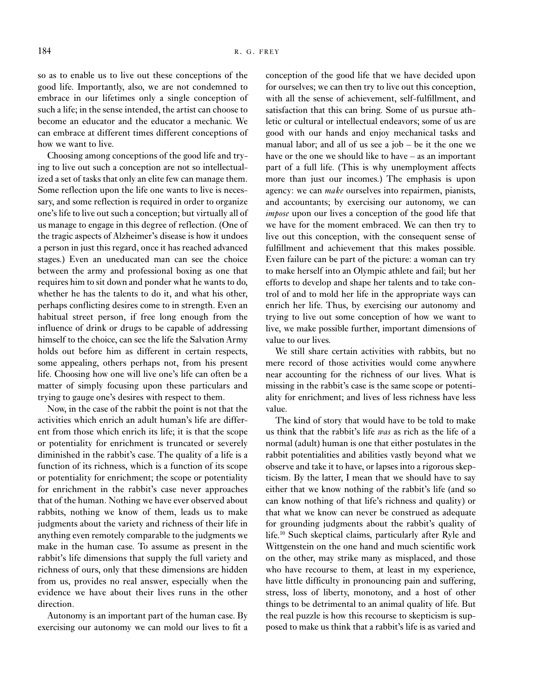so as to enable us to live out these conceptions of the good life. Importantly, also, we are not condemned to embrace in our lifetimes only a single conception of such a life; in the sense intended, the artist can choose to become an educator and the educator a mechanic. We can embrace at different times different conceptions of how we want to live.

Choosing among conceptions of the good life and trying to live out such a conception are not so intellectualized a set of tasks that only an elite few can manage them. Some reflection upon the life one wants to live is necessary, and some reflection is required in order to organize one's life to live out such a conception; but virtually all of us manage to engage in this degree of reflection. (One of the tragic aspects of Alzheimer's disease is how it undoes a person in just this regard, once it has reached advanced stages.) Even an uneducated man can see the choice between the army and professional boxing as one that requires him to sit down and ponder what he wants to do, whether he has the talents to do it, and what his other, perhaps conflicting desires come to in strength. Even an habitual street person, if free long enough from the influence of drink or drugs to be capable of addressing himself to the choice, can see the life the Salvation Army holds out before him as different in certain respects, some appealing, others perhaps not, from his present life. Choosing how one will live one's life can often be a matter of simply focusing upon these particulars and trying to gauge one's desires with respect to them.

Now, in the case of the rabbit the point is not that the activities which enrich an adult human's life are different from those which enrich its life; it is that the scope or potentiality for enrichment is truncated or severely diminished in the rabbit's case. The quality of a life is a function of its richness, which is a function of its scope or potentiality for enrichment; the scope or potentiality for enrichment in the rabbit's case never approaches that of the human. Nothing we have ever observed about rabbits, nothing we know of them, leads us to make judgments about the variety and richness of their life in anything even remotely comparable to the judgments we make in the human case. To assume as present in the rabbit's life dimensions that supply the full variety and richness of ours, only that these dimensions are hidden from us, provides no real answer, especially when the evidence we have about their lives runs in the other direction.

Autonomy is an important part of the human case. By exercising our autonomy we can mold our lives to fit a conception of the good life that we have decided upon for ourselves; we can then try to live out this conception, with all the sense of achievement, self-fulfillment, and satisfaction that this can bring. Some of us pursue athletic or cultural or intellectual endeavors; some of us are good with our hands and enjoy mechanical tasks and manual labor; and all of us see a job – be it the one we have or the one we should like to have – as an important part of a full life. (This is why unemployment affects more than just our incomes.) The emphasis is upon agency: we can *make* ourselves into repairmen, pianists, and accountants; by exercising our autonomy, we can *impose* upon our lives a conception of the good life that we have for the moment embraced. We can then try to live out this conception, with the consequent sense of fulfillment and achievement that this makes possible. Even failure can be part of the picture: a woman can try to make herself into an Olympic athlete and fail; but her efforts to develop and shape her talents and to take control of and to mold her life in the appropriate ways can enrich her life. Thus, by exercising our autonomy and trying to live out some conception of how we want to live, we make possible further, important dimensions of value to our lives.

We still share certain activities with rabbits, but no mere record of those activities would come anywhere near accounting for the richness of our lives. What is missing in the rabbit's case is the same scope or potentiality for enrichment; and lives of less richness have less value.

The kind of story that would have to be told to make us think that the rabbit's life *was* as rich as the life of a normal (adult) human is one that either postulates in the rabbit potentialities and abilities vastly beyond what we observe and take it to have, or lapses into a rigorous skepticism. By the latter, I mean that we should have to say either that we know nothing of the rabbit's life (and so can know nothing of that life's richness and quality) or that what we know can never be construed as adequate for grounding judgments about the rabbit's quality of life.<sup>10</sup> Such skeptical claims, particularly after Ryle and Wittgenstein on the one hand and much scientific work on the other, may strike many as misplaced, and those who have recourse to them, at least in my experience, have little difficulty in pronouncing pain and suffering, stress, loss of liberty, monotony, and a host of other things to be detrimental to an animal quality of life. But the real puzzle is how this recourse to skepticism is supposed to make us think that a rabbit's life is as varied and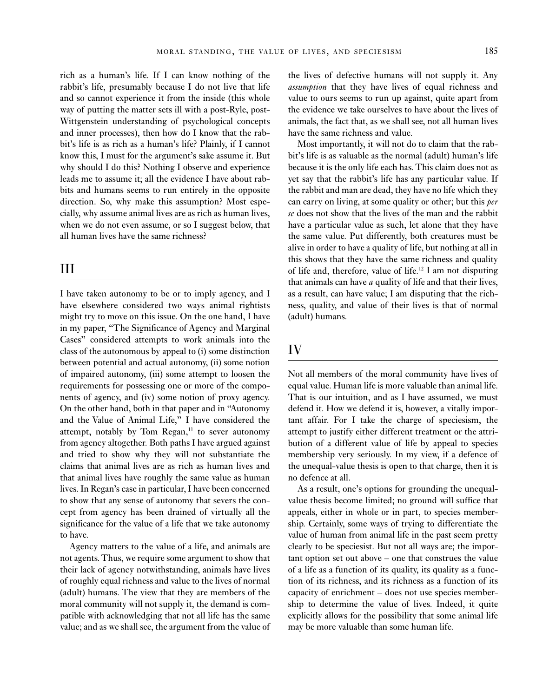rich as a human's life. If I can know nothing of the rabbit's life, presumably because I do not live that life and so cannot experience it from the inside (this whole way of putting the matter sets ill with a post-Ryle, post-Wittgenstein understanding of psychological concepts and inner processes), then how do I know that the rabbit's life is as rich as a human's life? Plainly, if I cannot know this, I must for the argument's sake assume it. But why should I do this? Nothing I observe and experience leads me to assume it; all the evidence I have about rabbits and humans seems to run entirely in the opposite direction. So, why make this assumption? Most especially, why assume animal lives are as rich as human lives, when we do not even assume, or so I suggest below, that all human lives have the same richness?

## III

I have taken autonomy to be or to imply agency, and I have elsewhere considered two ways animal rightists might try to move on this issue. On the one hand, I have in my paper, "The Significance of Agency and Marginal Cases" considered attempts to work animals into the class of the autonomous by appeal to (i) some distinction between potential and actual autonomy, (ii) some notion of impaired autonomy, (iii) some attempt to loosen the requirements for possessing one or more of the components of agency, and (iv) some notion of proxy agency. On the other hand, both in that paper and in "Autonomy and the Value of Animal Life," I have considered the attempt, notably by Tom  $Regan$ ,<sup>11</sup> to sever autonomy from agency altogether. Both paths I have argued against and tried to show why they will not substantiate the claims that animal lives are as rich as human lives and that animal lives have roughly the same value as human lives. In Regan's case in particular, I have been concerned to show that any sense of autonomy that severs the concept from agency has been drained of virtually all the significance for the value of a life that we take autonomy to have.

Agency matters to the value of a life, and animals are not agents. Thus, we require some argument to show that their lack of agency notwithstanding, animals have lives of roughly equal richness and value to the lives of normal (adult) humans. The view that they are members of the moral community will not supply it, the demand is compatible with acknowledging that not all life has the same value; and as we shall see, the argument from the value of the lives of defective humans will not supply it. Any *assumption* that they have lives of equal richness and value to ours seems to run up against, quite apart from the evidence we take ourselves to have about the lives of animals, the fact that, as we shall see, not all human lives have the same richness and value.

Most importantly, it will not do to claim that the rabbit's life is as valuable as the normal (adult) human's life because it is the only life each has. This claim does not as yet say that the rabbit's life has any particular value. If the rabbit and man are dead, they have no life which they can carry on living, at some quality or other; but this *per se* does not show that the lives of the man and the rabbit have a particular value as such, let alone that they have the same value. Put differently, both creatures must be alive in order to have a quality of life, but nothing at all in this shows that they have the same richness and quality of life and, therefore, value of life.12 I am not disputing that animals can have *a* quality of life and that their lives, as a result, can have value; I am disputing that the richness, quality, and value of their lives is that of normal (adult) humans.

### IV

Not all members of the moral community have lives of equal value. Human life is more valuable than animal life. That is our intuition, and as I have assumed, we must defend it. How we defend it is, however, a vitally important affair. For I take the charge of speciesism, the attempt to justify either different treatment or the attribution of a different value of life by appeal to species membership very seriously. In my view, if a defence of the unequal-value thesis is open to that charge, then it is no defence at all.

As a result, one's options for grounding the unequalvalue thesis become limited; no ground will suffice that appeals, either in whole or in part, to species membership. Certainly, some ways of trying to differentiate the value of human from animal life in the past seem pretty clearly to be speciesist. But not all ways are; the important option set out above – one that construes the value of a life as a function of its quality, its quality as a function of its richness, and its richness as a function of its capacity of enrichment – does not use species membership to determine the value of lives. Indeed, it quite explicitly allows for the possibility that some animal life may be more valuable than some human life.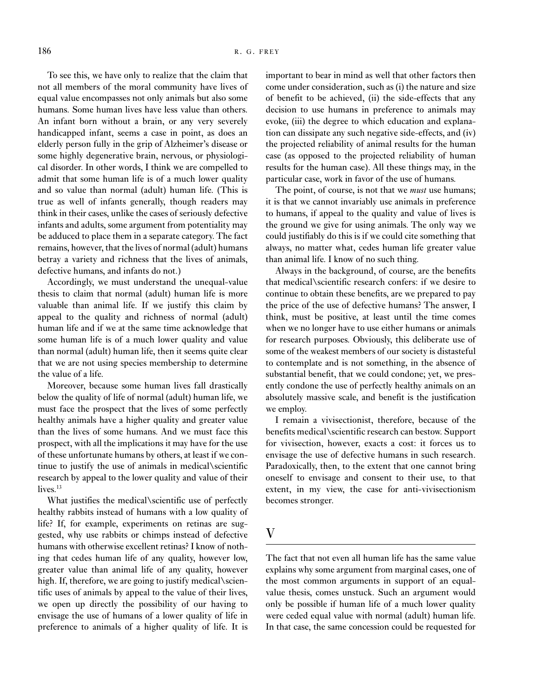To see this, we have only to realize that the claim that not all members of the moral community have lives of equal value encompasses not only animals but also some humans. Some human lives have less value than others. An infant born without a brain, or any very severely handicapped infant, seems a case in point, as does an elderly person fully in the grip of Alzheimer's disease or some highly degenerative brain, nervous, or physiological disorder. In other words, I think we are compelled to admit that some human life is of a much lower quality and so value than normal (adult) human life. (This is true as well of infants generally, though readers may think in their cases, unlike the cases of seriously defective infants and adults, some argument from potentiality may be adduced to place them in a separate category. The fact remains, however, that the lives of normal (adult) humans betray a variety and richness that the lives of animals, defective humans, and infants do not.)

Accordingly, we must understand the unequal-value thesis to claim that normal (adult) human life is more valuable than animal life. If we justify this claim by appeal to the quality and richness of normal (adult) human life and if we at the same time acknowledge that some human life is of a much lower quality and value than normal (adult) human life, then it seems quite clear that we are not using species membership to determine the value of a life.

Moreover, because some human lives fall drastically below the quality of life of normal (adult) human life, we must face the prospect that the lives of some perfectly healthy animals have a higher quality and greater value than the lives of some humans. And we must face this prospect, with all the implications it may have for the use of these unfortunate humans by others, at least if we continue to justify the use of animals in medical\scientific research by appeal to the lower quality and value of their lives.<sup>13</sup>

What justifies the medical\scientific use of perfectly healthy rabbits instead of humans with a low quality of life? If, for example, experiments on retinas are suggested, why use rabbits or chimps instead of defective humans with otherwise excellent retinas? I know of nothing that cedes human life of any quality, however low, greater value than animal life of any quality, however high. If, therefore, we are going to justify medical\scientific uses of animals by appeal to the value of their lives, we open up directly the possibility of our having to envisage the use of humans of a lower quality of life in preference to animals of a higher quality of life. It is important to bear in mind as well that other factors then come under consideration, such as (i) the nature and size of benefit to be achieved, (ii) the side-effects that any decision to use humans in preference to animals may evoke, (iii) the degree to which education and explanation can dissipate any such negative side-effects, and (iv) the projected reliability of animal results for the human case (as opposed to the projected reliability of human results for the human case). All these things may, in the particular case, work in favor of the use of humans.

The point, of course, is not that we *must* use humans; it is that we cannot invariably use animals in preference to humans, if appeal to the quality and value of lives is the ground we give for using animals. The only way we could justifiably do this is if we could cite something that always, no matter what, cedes human life greater value than animal life. I know of no such thing.

Always in the background, of course, are the benefits that medical\scientific research confers: if we desire to continue to obtain these benefits, are we prepared to pay the price of the use of defective humans? The answer, I think, must be positive, at least until the time comes when we no longer have to use either humans or animals for research purposes. Obviously, this deliberate use of some of the weakest members of our society is distasteful to contemplate and is not something, in the absence of substantial benefit, that we could condone; yet, we presently condone the use of perfectly healthy animals on an absolutely massive scale, and benefit is the justification we employ.

I remain a vivisectionist, therefore, because of the benefits medical\scientific research can bestow. Support for vivisection, however, exacts a cost: it forces us to envisage the use of defective humans in such research. Paradoxically, then, to the extent that one cannot bring oneself to envisage and consent to their use, to that extent, in my view, the case for anti-vivisectionism becomes stronger.

#### V

The fact that not even all human life has the same value explains why some argument from marginal cases, one of the most common arguments in support of an equalvalue thesis, comes unstuck. Such an argument would only be possible if human life of a much lower quality were ceded equal value with normal (adult) human life. In that case, the same concession could be requested for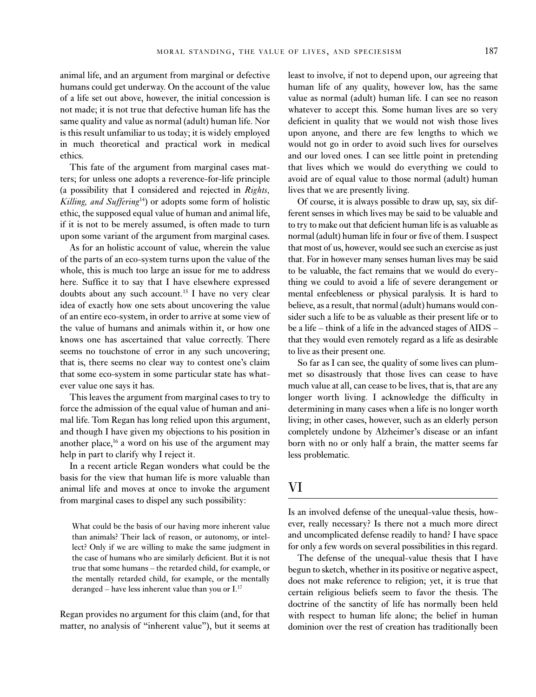animal life, and an argument from marginal or defective humans could get underway. On the account of the value of a life set out above, however, the initial concession is not made; it is not true that defective human life has the same quality and value as normal (adult) human life. Nor is this result unfamiliar to us today; it is widely employed in much theoretical and practical work in medical ethics.

This fate of the argument from marginal cases matters; for unless one adopts a reverence-for-life principle (a possibility that I considered and rejected in *Rights, Killing, and Suffering*14) or adopts some form of holistic ethic, the supposed equal value of human and animal life, if it is not to be merely assumed, is often made to turn upon some variant of the argument from marginal cases.

As for an holistic account of value, wherein the value of the parts of an eco-system turns upon the value of the whole, this is much too large an issue for me to address here. Suffice it to say that I have elsewhere expressed doubts about any such account.<sup>15</sup> I have no very clear idea of exactly how one sets about uncovering the value of an entire eco-system, in order to arrive at some view of the value of humans and animals within it, or how one knows one has ascertained that value correctly. There seems no touchstone of error in any such uncovering; that is, there seems no clear way to contest one's claim that some eco-system in some particular state has whatever value one says it has.

This leaves the argument from marginal cases to try to force the admission of the equal value of human and animal life. Tom Regan has long relied upon this argument, and though I have given my objections to his position in another place,<sup>16</sup> a word on his use of the argument may help in part to clarify why I reject it.

In a recent article Regan wonders what could be the basis for the view that human life is more valuable than animal life and moves at once to invoke the argument from marginal cases to dispel any such possibility:

What could be the basis of our having more inherent value than animals? Their lack of reason, or autonomy, or intellect? Only if we are willing to make the same judgment in the case of humans who are similarly deficient. But it is not true that some humans – the retarded child, for example, or the mentally retarded child, for example, or the mentally deranged – have less inherent value than you or  $I^{17}$ .

Regan provides no argument for this claim (and, for that matter, no analysis of "inherent value"), but it seems at least to involve, if not to depend upon, our agreeing that human life of any quality, however low, has the same value as normal (adult) human life. I can see no reason whatever to accept this. Some human lives are so very deficient in quality that we would not wish those lives upon anyone, and there are few lengths to which we would not go in order to avoid such lives for ourselves and our loved ones. I can see little point in pretending that lives which we would do everything we could to avoid are of equal value to those normal (adult) human lives that we are presently living.

Of course, it is always possible to draw up, say, six different senses in which lives may be said to be valuable and to try to make out that deficient human life is as valuable as normal (adult) human life in four or five of them. I suspect that most of us, however, would see such an exercise as just that. For in however many senses human lives may be said to be valuable, the fact remains that we would do everything we could to avoid a life of severe derangement or mental enfeebleness or physical paralysis. It is hard to believe, as a result, that normal (adult) humans would consider such a life to be as valuable as their present life or to be a life – think of a life in the advanced stages of AIDS – that they would even remotely regard as a life as desirable to live as their present one.

So far as I can see, the quality of some lives can plummet so disastrously that those lives can cease to have much value at all, can cease to be lives, that is, that are any longer worth living. I acknowledge the difficulty in determining in many cases when a life is no longer worth living; in other cases, however, such as an elderly person completely undone by Alzheimer's disease or an infant born with no or only half a brain, the matter seems far less problematic.

## VI

Is an involved defense of the unequal-value thesis, however, really necessary? Is there not a much more direct and uncomplicated defense readily to hand? I have space for only a few words on several possibilities in this regard.

The defense of the unequal-value thesis that I have begun to sketch, whether in its positive or negative aspect, does not make reference to religion; yet, it is true that certain religious beliefs seem to favor the thesis. The doctrine of the sanctity of life has normally been held with respect to human life alone; the belief in human dominion over the rest of creation has traditionally been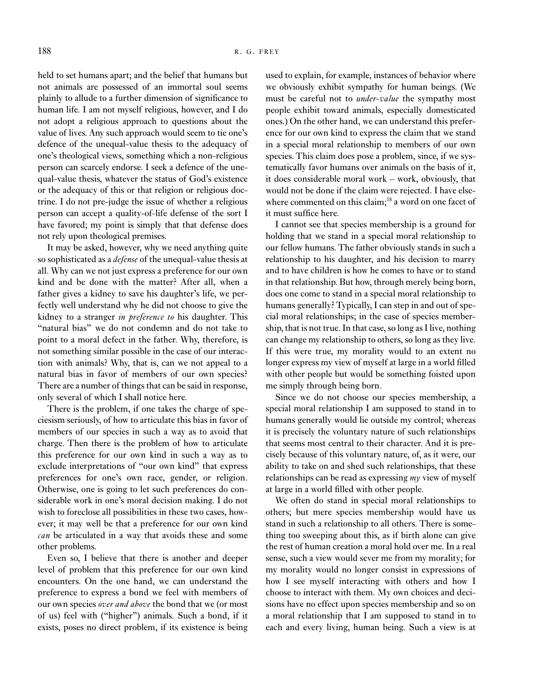held to set humans apart; and the belief that humans but not animals are possessed of an immortal soul seems plainly to allude to a further dimension of significance to human life. I am not myself religious, however, and I do not adopt a religious approach to questions about the value of lives. Any such approach would seem to tie one's defence of the unequal-value thesis to the adequacy of one's theological views, something which a non-religious person can scarcely endorse. I seek a defence of the unequal-value thesis, whatever the status of God's existence or the adequacy of this or that religion or religious doctrine. I do not pre-judge the issue of whether a religious person can accept a quality-of-life defense of the sort I have favored; my point is simply that that defense does not rely upon theological premises.

It may be asked, however, why we need anything quite so sophisticated as a *defense* of the unequal-value thesis at all. Why can we not just express a preference for our own kind and be done with the matter? After all, when a father gives a kidney to save his daughter's life, we perfectly well understand why he did not choose to give the kidney to a stranger *in preference to* his daughter. This "natural bias" we do not condemn and do not take to point to a moral defect in the father. Why, therefore, is not something similar possible in the case of our interaction with animals? Why, that is, can we not appeal to a natural bias in favor of members of our own species? There are a number of things that can be said in response, only several of which I shall notice here.

There is the problem, if one takes the charge of speciesism seriously, of how to articulate this bias in favor of members of our species in such a way as to avoid that charge. Then there is the problem of how to articulate this preference for our own kind in such a way as to exclude interpretations of "our own kind" that express preferences for one's own race, gender, or religion. Otherwise, one is going to let such preferences do considerable work in one's moral decision making. I do not wish to foreclose all possibilities in these two cases, however; it may well be that a preference for our own kind *can* be articulated in a way that avoids these and some other problems.

Even so, I believe that there is another and deeper level of problem that this preference for our own kind encounters. On the one hand, we can understand the preference to express a bond we feel with members of our own species *over and above* the bond that we (or most of us) feel with ("higher") animals. Such a bond, if it exists, poses no direct problem, if its existence is being used to explain, for example, instances of behavior where we obviously exhibit sympathy for human beings. (We must be careful not to *under-value* the sympathy most people exhibit toward animals, especially domesticated ones.) On the other hand, we can understand this preference for our own kind to express the claim that we stand in a special moral relationship to members of our own species. This claim does pose a problem, since, if we systematically favor humans over animals on the basis of it, it does considerable moral work – work, obviously, that would not be done if the claim were rejected. I have elsewhere commented on this claim;<sup>18</sup> a word on one facet of it must suffice here.

I cannot see that species membership is a ground for holding that we stand in a special moral relationship to our fellow humans. The father obviously stands in such a relationship to his daughter, and his decision to marry and to have children is how he comes to have or to stand in that relationship. But how, through merely being born, does one come to stand in a special moral relationship to humans generally? Typically, I can step in and out of special moral relationships; in the case of species membership, that is not true. In that case, so long as I live, nothing can change my relationship to others, so long as they live. If this were true, my morality would to an extent no longer express my view of myself at large in a world filled with other people but would be something foisted upon me simply through being born.

Since we do not choose our species membership, a special moral relationship I am supposed to stand in to humans generally would lie outside my control; whereas it is precisely the voluntary nature of such relationships that seems most central to their character. And it is precisely because of this voluntary nature, of, as it were, our ability to take on and shed such relationships, that these relationships can be read as expressing *my* view of myself at large in a world filled with other people.

We often do stand in special moral relationships to others; but mere species membership would have us stand in such a relationship to all others. There is something too sweeping about this, as if birth alone can give the rest of human creation a moral hold over me. In a real sense, such a view would sever me from my morality; for my morality would no longer consist in expressions of how I see myself interacting with others and how I choose to interact with them. My own choices and decisions have no effect upon species membership and so on a moral relationship that I am supposed to stand in to each and every living, human being. Such a view is at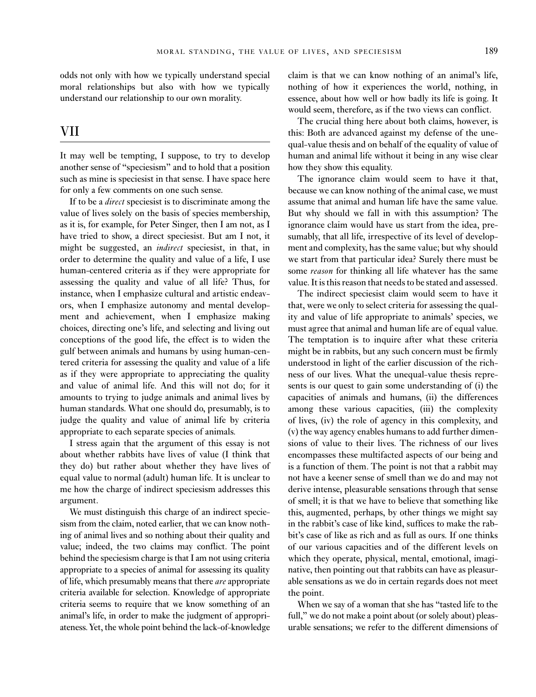odds not only with how we typically understand special moral relationships but also with how we typically understand our relationship to our own morality.

## VII

It may well be tempting, I suppose, to try to develop another sense of "speciesism" and to hold that a position such as mine is speciesist in that sense. I have space here for only a few comments on one such sense.

If to be a *direct* speciesist is to discriminate among the value of lives solely on the basis of species membership, as it is, for example, for Peter Singer, then I am not, as I have tried to show, a direct speciesist. But am I not, it might be suggested, an *indirect* speciesist, in that, in order to determine the quality and value of a life, I use human-centered criteria as if they were appropriate for assessing the quality and value of all life? Thus, for instance, when I emphasize cultural and artistic endeavors, when I emphasize autonomy and mental development and achievement, when I emphasize making choices, directing one's life, and selecting and living out conceptions of the good life, the effect is to widen the gulf between animals and humans by using human-centered criteria for assessing the quality and value of a life as if they were appropriate to appreciating the quality and value of animal life. And this will not do; for it amounts to trying to judge animals and animal lives by human standards. What one should do, presumably, is to judge the quality and value of animal life by criteria appropriate to each separate species of animals.

I stress again that the argument of this essay is not about whether rabbits have lives of value (I think that they do) but rather about whether they have lives of equal value to normal (adult) human life. It is unclear to me how the charge of indirect speciesism addresses this argument.

We must distinguish this charge of an indirect speciesism from the claim, noted earlier, that we can know nothing of animal lives and so nothing about their quality and value; indeed, the two claims may conflict. The point behind the speciesism charge is that I am not using criteria appropriate to a species of animal for assessing its quality of life, which presumably means that there *are* appropriate criteria available for selection. Knowledge of appropriate criteria seems to require that we know something of an animal's life, in order to make the judgment of appropriateness. Yet, the whole point behind the lack-of-knowledge claim is that we can know nothing of an animal's life, nothing of how it experiences the world, nothing, in essence, about how well or how badly its life is going. It would seem, therefore, as if the two views can conflict.

The crucial thing here about both claims, however, is this: Both are advanced against my defense of the unequal-value thesis and on behalf of the equality of value of human and animal life without it being in any wise clear how they show this equality.

The ignorance claim would seem to have it that, because we can know nothing of the animal case, we must assume that animal and human life have the same value. But why should we fall in with this assumption? The ignorance claim would have us start from the idea, presumably, that all life, irrespective of its level of development and complexity, has the same value; but why should we start from that particular idea? Surely there must be some *reason* for thinking all life whatever has the same value. It is this reason that needs to be stated and assessed.

The indirect speciesist claim would seem to have it that, were we only to select criteria for assessing the quality and value of life appropriate to animals' species, we must agree that animal and human life are of equal value. The temptation is to inquire after what these criteria might be in rabbits, but any such concern must be firmly understood in light of the earlier discussion of the richness of our lives. What the unequal-value thesis represents is our quest to gain some understanding of (i) the capacities of animals and humans, (ii) the differences among these various capacities, (iii) the complexity of lives, (iv) the role of agency in this complexity, and (v) the way agency enables humans to add further dimensions of value to their lives. The richness of our lives encompasses these multifacted aspects of our being and is a function of them. The point is not that a rabbit may not have a keener sense of smell than we do and may not derive intense, pleasurable sensations through that sense of smell; it is that we have to believe that something like this, augmented, perhaps, by other things we might say in the rabbit's case of like kind, suffices to make the rabbit's case of like as rich and as full as ours. If one thinks of our various capacities and of the different levels on which they operate, physical, mental, emotional, imaginative, then pointing out that rabbits can have as pleasurable sensations as we do in certain regards does not meet the point.

When we say of a woman that she has "tasted life to the full," we do not make a point about (or solely about) pleasurable sensations; we refer to the different dimensions of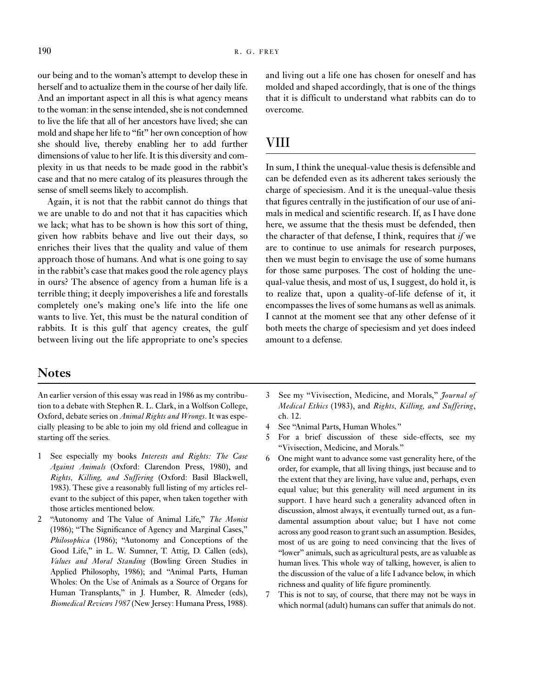our being and to the woman's attempt to develop these in herself and to actualize them in the course of her daily life. And an important aspect in all this is what agency means to the woman: in the sense intended, she is not condemned to live the life that all of her ancestors have lived; she can mold and shape her life to "fit" her own conception of how she should live, thereby enabling her to add further dimensions of value to her life. It is this diversity and complexity in us that needs to be made good in the rabbit's case and that no mere catalog of its pleasures through the sense of smell seems likely to accomplish.

Again, it is not that the rabbit cannot do things that we are unable to do and not that it has capacities which we lack; what has to be shown is how this sort of thing, given how rabbits behave and live out their days, so enriches their lives that the quality and value of them approach those of humans. And what is one going to say in the rabbit's case that makes good the role agency plays in ours? The absence of agency from a human life is a terrible thing; it deeply impoverishes a life and forestalls completely one's making one's life into the life one wants to live. Yet, this must be the natural condition of rabbits. It is this gulf that agency creates, the gulf between living out the life appropriate to one's species and living out a life one has chosen for oneself and has molded and shaped accordingly, that is one of the things that it is difficult to understand what rabbits can do to overcome.

## VIII

In sum, I think the unequal-value thesis is defensible and can be defended even as its adherent takes seriously the charge of speciesism. And it is the unequal-value thesis that figures centrally in the justification of our use of animals in medical and scientific research. If, as I have done here, we assume that the thesis must be defended, then the character of that defense, I think, requires that *if* we are to continue to use animals for research purposes, then we must begin to envisage the use of some humans for those same purposes. The cost of holding the unequal-value thesis, and most of us, I suggest, do hold it, is to realize that, upon a quality-of-life defense of it, it encompasses the lives of some humans as well as animals. I cannot at the moment see that any other defense of it both meets the charge of speciesism and yet does indeed amount to a defense.

## **Notes**

An earlier version of this essay was read in 1986 as my contribution to a debate with Stephen R. L. Clark, in a Wolfson College, Oxford, debate series on *Animal Rights and Wrongs*. It was especially pleasing to be able to join my old friend and colleague in starting off the series.

- 1 See especially my books *Interests and Rights: The Case Against Animals* (Oxford: Clarendon Press, 1980), and *Rights, Killing, and Suffering* (Oxford: Basil Blackwell, 1983). These give a reasonably full listing of my articles relevant to the subject of this paper, when taken together with those articles mentioned below.
- 2 "Autonomy and The Value of Animal Life," *The Monist* (1986); "The Significance of Agency and Marginal Cases," *Philosophica* (1986); "Autonomy and Conceptions of the Good Life," in L. W. Sumner, T. Attig, D. Callen (eds), *Values and Moral Standing* (Bowling Green Studies in Applied Philosophy, 1986); and "Animal Parts, Human Wholes: On the Use of Animals as a Source of Organs for Human Transplants," in J. Humber, R. Almeder (eds), *Biomedical Reviews 1987* (New Jersey: Humana Press, 1988).
- 3 See my "Vivisection, Medicine, and Morals," *Journal of Medical Ethics* (1983), and *Rights, Killing, and Suffering*, ch. 12.
- 4 See "Animal Parts, Human Wholes."
- 5 For a brief discussion of these side-effects, see my "Vivisection, Medicine, and Morals."
- 6 One might want to advance some vast generality here, of the order, for example, that all living things, just because and to the extent that they are living, have value and, perhaps, even equal value; but this generality will need argument in its support. I have heard such a generality advanced often in discussion, almost always, it eventually turned out, as a fundamental assumption about value; but I have not come across any good reason to grant such an assumption. Besides, most of us are going to need convincing that the lives of "lower" animals, such as agricultural pests, are as valuable as human lives. This whole way of talking, however, is alien to the discussion of the value of a life I advance below, in which richness and quality of life figure prominently.
- 7 This is not to say, of course, that there may not be ways in which normal (adult) humans can suffer that animals do not.